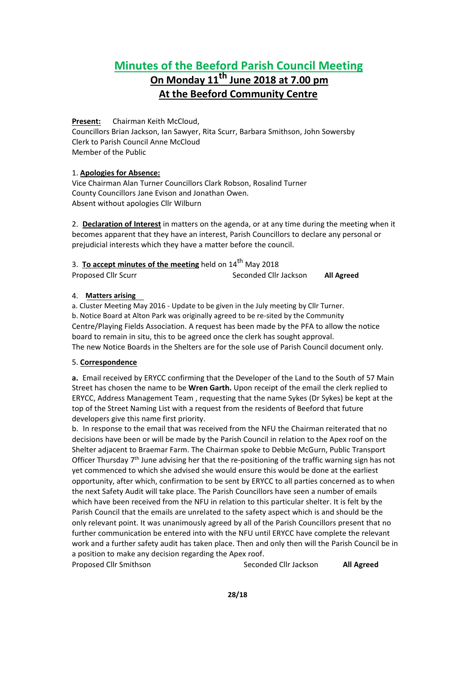# **Minutes of the Beeford Parish Council Meeting On Monday 11 th June 2018 at 7.00 pm At the Beeford Community Centre**

**Present:** Chairman Keith McCloud,

Councillors Brian Jackson, Ian Sawyer, Rita Scurr, Barbara Smithson, John Sowersby Clerk to Parish Council Anne McCloud Member of the Public

# 1. **Apologies for Absence:**

Vice Chairman Alan Turner Councillors Clark Robson, Rosalind Turner County Councillors Jane Evison and Jonathan Owen. Absent without apologies Cllr Wilburn

2. **Declaration of Interest** in matters on the agenda, or at any time during the meeting when it becomes apparent that they have an interest, Parish Councillors to declare any personal or prejudicial interests which they have a matter before the council.

| 3. To accept minutes of the meeting held on 14 <sup>th</sup> May 2018 |                       |            |
|-----------------------------------------------------------------------|-----------------------|------------|
| Proposed Cllr Scurr                                                   | Seconded Cllr Jackson | All Agreed |

# 4. **Matters arising**

a. Cluster Meeting May 2016 - Update to be given in the July meeting by Cllr Turner. b. Notice Board at Alton Park was originally agreed to be re-sited by the Community Centre/Playing Fields Association. A request has been made by the PFA to allow the notice board to remain in situ, this to be agreed once the clerk has sought approval. The new Notice Boards in the Shelters are for the sole use of Parish Council document only.

# 5. **Correspondence**

**a.** Email received by ERYCC confirming that the Developer of the Land to the South of 57 Main Street has chosen the name to be **Wren Garth.** Upon receipt ofthe email the clerk replied to ERYCC, Address Management Team, requesting that the name Sykes (Dr Sykes) be kept at the top of the Street Naming List with a request from the residents of Beeford that future developers give this name first priority.

b. In response to the email that was received from the NFU the Chairman reiterated that no decisions have been or will be made by the Parish Council in relation to the Apex roof on the Shelter adjacent to Braemar Farm. The Chairman spoke to Debbie McGurn, Public Transport Officer Thursday 7<sup>th</sup> June advising her that the re-positioning of the traffic warning sign has not yet commenced to which she advised she would ensure this would be done at the earliest opportunity, after which, confirmation to be sent by ERYCC to all parties concerned as to when the next Safety Audit will take place. The Parish Councillors have seen a number of emails which have been received from the NFU in relation to this particular shelter. It is felt by the Parish Council that the emails are unrelated to the safety aspect which is and should be the only relevant point. It was unanimously agreed by all of the Parish Councillors present that no further communication be entered into with the NFU until ERYCC have complete the relevant work and a further safety audit has taken place. Then and only then will the Parish Council be in a position to make any decision regarding the Apex roof.

Proposed Cllr Smithson Seconded Cllr Jackson **All Agreed**